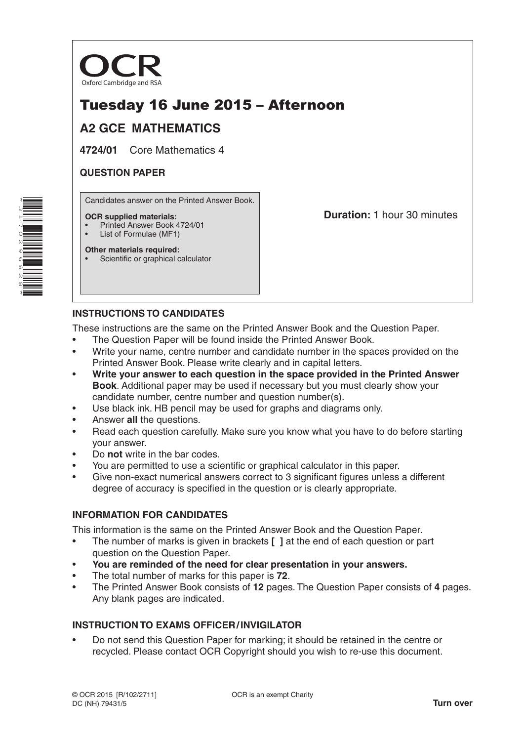

# Tuesday 16 June 2015 – Afternoon

## **A2 GCE MATHEMATICS**

**4724/01** Core Mathematics 4

#### **QUESTION PAPER**

Candidates answer on the Printed Answer Book.

#### **OCR supplied materials:**

- Printed Answer Book 4724/01
- List of Formulae (MF1)

**Other materials required:** Scientific or graphical calculator **Duration:** 1 hour 30 minutes

## **INSTRUCTIONS TO CANDIDATES**

These instructions are the same on the Printed Answer Book and the Question Paper.

- The Question Paper will be found inside the Printed Answer Book.
- Write your name, centre number and candidate number in the spaces provided on the Printed Answer Book. Please write clearly and in capital letters.
- **Write your answer to each question in the space provided in the Printed Answer Book**. Additional paper may be used if necessary but you must clearly show your candidate number, centre number and question number(s).
- Use black ink. HB pencil may be used for graphs and diagrams only.
- Answer **all** the questions.
- Read each question carefully. Make sure you know what you have to do before starting your answer.
- Do **not** write in the bar codes.
- You are permitted to use a scientific or graphical calculator in this paper.
- Give non-exact numerical answers correct to 3 significant figures unless a different degree of accuracy is specified in the question or is clearly appropriate.

## **INFORMATION FOR CANDIDATES**

This information is the same on the Printed Answer Book and the Question Paper.

- The number of marks is given in brackets **[ ]** at the end of each question or part question on the Question Paper.
- **You are reminded of the need for clear presentation in your answers.**
- The total number of marks for this paper is **72**.
- The Printed Answer Book consists of **12** pages. The Question Paper consists of **4** pages. Any blank pages are indicated.

## **INSTRUCTION TO EXAMS OFFICER/INVIGILATOR**

• Do not send this Question Paper for marking; it should be retained in the centre or recycled. Please contact OCR Copyright should you wish to re-use this document.

\*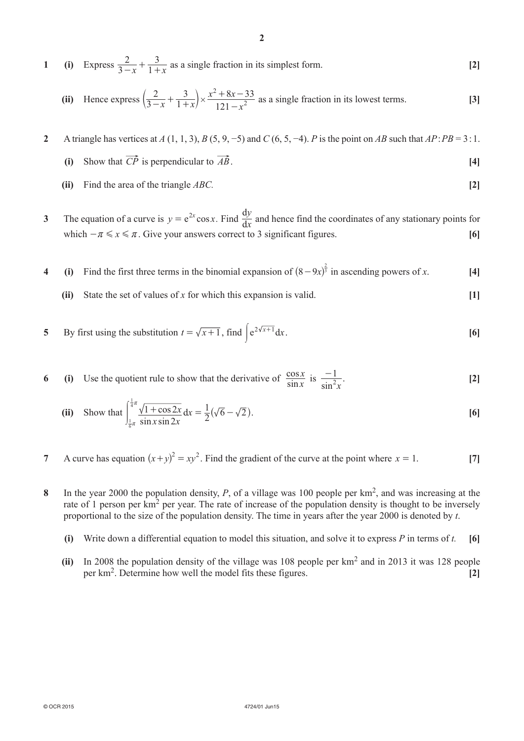**1** (i) Express  $\frac{2}{3-x} + \frac{3}{1+x}$ 2 1  $\frac{2}{-x} + \frac{3}{1+x}$  as a single fraction in its simplest form. **[2]** 

(ii) Hence express 
$$
\left(\frac{2}{3-x} + \frac{3}{1+x}\right) \times \frac{x^2 + 8x - 33}{121 - x^2}
$$
 as a single fraction in its lowest terms. [3]

- **2**  A triangle has vertices at *A* (1, 1, 3), *B* (5, 9, −5) and *C* (6, 5, −4). *P* is the point on *AB* such that *AP*:*PB* = 3:1.
	- **(i)** Show that  $\overrightarrow{CP}$  is perpendicular to  $\overrightarrow{AB}$ . **[4]**
	- **(ii)** Find the area of the triangle *ABC*. **[2]**
- **3** The equation of a curve is  $y = e^{2x} \cos x$ . Find  $\frac{dy}{dx}$ *y*  $\frac{dy}{dx}$  and hence find the coordinates of any stationary points for which  $-\pi \le x \le \pi$ . Give your answers correct to 3 significant figures. [6]
- **4** (i) Find the first three terms in the binomial expansion of  $(8-9x)^{\frac{2}{3}}$  in ascending powers of *x*. [4]
	- **(ii)** State the set of values of *x* for which this expansion is valid. **[1]**

5 By first using the substitution 
$$
t = \sqrt{x+1}
$$
, find  $\int e^{2\sqrt{x+1}} dx$ . [6]

**6** (i) Use the quotient rule to show that the derivative of  $\frac{\cos x}{\sin x}$  is  $\frac{-1}{\sin^2 x}$  $x \stackrel{15}{\sim} \sin$ *x*  $\frac{-1}{\sin^2 x}$  [2]

(ii) Show that 
$$
\int_{\frac{1}{6}\pi}^{\frac{1}{4}\pi} \frac{\sqrt{1 + \cos 2x}}{\sin x \sin 2x} dx = \frac{1}{2} (\sqrt{6} - \sqrt{2}).
$$
 [6]

- **7** A curve has equation  $(x+y)^2 = xy^2$ . Find the gradient of the curve at the point where  $x = 1$ . [7]
- **8** In the year 2000 the population density, *P*, of a village was 100 people per km<sup>2</sup>, and was increasing at the rate of 1 person per km<sup>2</sup> per year. The rate of increase of the population density is thought to be inversely proportional to the size of the population density. The time in years after the year 2000 is denoted by *t*.
	- **(i)** Write down a differential equation to model this situation, and solve it to express *P* in terms of *t*. **[6]**
	- **(ii)** In 2008 the population density of the village was 108 people per km<sup>2</sup> and in 2013 it was 128 people per km2. Determine how well the model fits these figures. **[2]**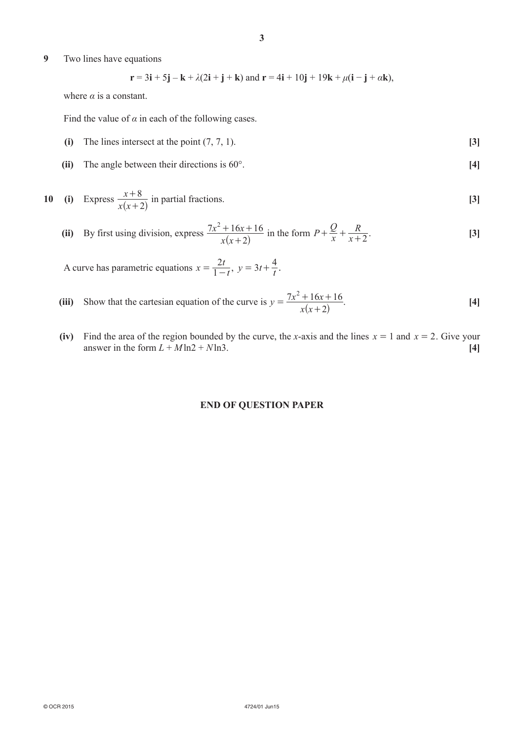**9**  Two lines have equations

$$
\mathbf{r} = 3\mathbf{i} + 5\mathbf{j} - \mathbf{k} + \lambda(2\mathbf{i} + \mathbf{j} + \mathbf{k})
$$
 and 
$$
\mathbf{r} = 4\mathbf{i} + 10\mathbf{j} + 19\mathbf{k} + \mu(\mathbf{i} - \mathbf{j} + \alpha \mathbf{k}),
$$

where  $\alpha$  is a constant.

Find the value of  $\alpha$  in each of the following cases.

- **(i)** The lines intersect at the point  $(7, 7, 1)$ . **[3]**
- **(ii)** The angle between their directions is 60°. **[4]**

10 (i) Express 
$$
\frac{x+8}{x(x+2)}
$$
 in partial fractions. [3]

(ii) By first using division, express 
$$
\frac{7x^2 + 16x + 16}{x(x+2)}
$$
 in the form  $P + \frac{Q}{x} + \frac{R}{x+2}$ . [3]

A curve has parametric equations  $x = \frac{2t}{1-t}$  $=\frac{2t}{1-t}, y=3t+\frac{4}{t}.$ 

- **(iii)** Show that the cartesian equation of the curve is *y x x*  $x^2 + 16x$ 2  $7x^2 + 16x + 16$  $=\frac{7x^2+16x+16}{x(x+2)}$ . [4]
	- **(iv)** Find the area of the region bounded by the curve, the *x*-axis and the lines  $x = 1$  and  $x = 2$ . Give your answer in the form  $L + M \ln 2 + N \ln 3$ . [4]

#### **END OF QUESTION PAPER**